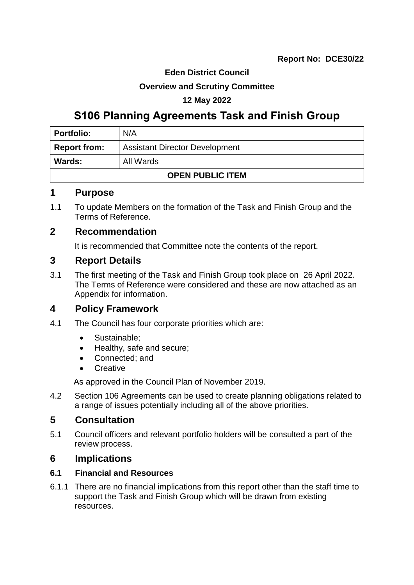## **Eden District Council**

### **Overview and Scrutiny Committee**

## **12 May 2022**

# **S106 Planning Agreements Task and Finish Group**

| <b>Portfolio:</b>          | N/A                                   |  |
|----------------------------|---------------------------------------|--|
| <b>Report from:</b>        | <b>Assistant Director Development</b> |  |
| All Wards<br><b>Wards:</b> |                                       |  |
| <b>OPEN PUBLIC ITEM</b>    |                                       |  |

## **1 Purpose**

1.1 To update Members on the formation of the Task and Finish Group and the Terms of Reference.

## **2 Recommendation**

It is recommended that Committee note the contents of the report.

# **3 Report Details**

3.1 The first meeting of the Task and Finish Group took place on 26 April 2022. The Terms of Reference were considered and these are now attached as an Appendix for information.

# **4 Policy Framework**

- 4.1 The Council has four corporate priorities which are:
	- Sustainable:
	- Healthy, safe and secure;
	- Connected; and
	- **•** Creative

As approved in the Council Plan of November 2019.

4.2 Section 106 Agreements can be used to create planning obligations related to a range of issues potentially including all of the above priorities.

# **5 Consultation**

5.1 Council officers and relevant portfolio holders will be consulted a part of the review process.

# **6 Implications**

### **6.1 Financial and Resources**

6.1.1 There are no financial implications from this report other than the staff time to support the Task and Finish Group which will be drawn from existing resources.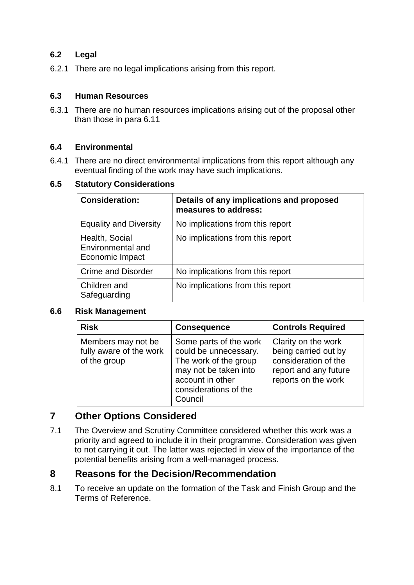#### **6.2 Legal**

6.2.1 There are no legal implications arising from this report.

#### **6.3 Human Resources**

6.3.1 There are no human resources implications arising out of the proposal other than those in para 6.11

#### **6.4 Environmental**

6.4.1 There are no direct environmental implications from this report although any eventual finding of the work may have such implications.

#### **6.5 Statutory Considerations**

| <b>Consideration:</b>                                  | Details of any implications and proposed<br>measures to address: |
|--------------------------------------------------------|------------------------------------------------------------------|
| <b>Equality and Diversity</b>                          | No implications from this report                                 |
| Health, Social<br>Environmental and<br>Economic Impact | No implications from this report                                 |
| <b>Crime and Disorder</b>                              | No implications from this report                                 |
| Children and<br>Safeguarding                           | No implications from this report                                 |

#### **6.6 Risk Management**

| <b>Risk</b>                                                   | <b>Consequence</b>                                                                                                                                        | <b>Controls Required</b>                                                                                            |
|---------------------------------------------------------------|-----------------------------------------------------------------------------------------------------------------------------------------------------------|---------------------------------------------------------------------------------------------------------------------|
| Members may not be<br>fully aware of the work<br>of the group | Some parts of the work<br>could be unnecessary.<br>The work of the group<br>may not be taken into<br>account in other<br>considerations of the<br>Council | Clarity on the work<br>being carried out by<br>consideration of the<br>report and any future<br>reports on the work |

### **7 Other Options Considered**

7.1 The Overview and Scrutiny Committee considered whether this work was a priority and agreed to include it in their programme. Consideration was given to not carrying it out. The latter was rejected in view of the importance of the potential benefits arising from a well-managed process.

### **8 Reasons for the Decision/Recommendation**

8.1 To receive an update on the formation of the Task and Finish Group and the Terms of Reference.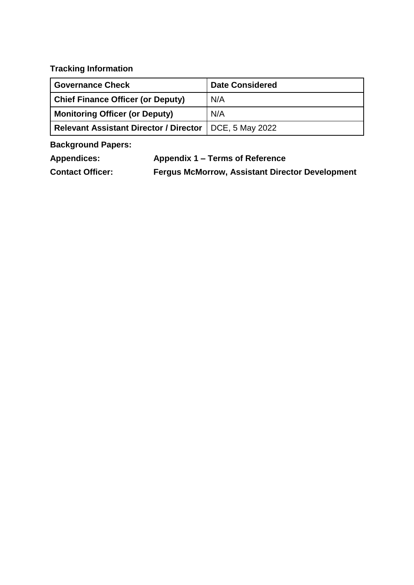**Tracking Information**

| <b>Governance Check</b>                       | <b>Date Considered</b> |
|-----------------------------------------------|------------------------|
| <b>Chief Finance Officer (or Deputy)</b>      | N/A                    |
| <b>Monitoring Officer (or Deputy)</b>         | N/A                    |
| <b>Relevant Assistant Director / Director</b> | DCE, 5 May 2022        |

**Background Papers:**

**Appendices: Appendix 1 – Terms of Reference**

**Contact Officer: Fergus McMorrow, Assistant Director Development**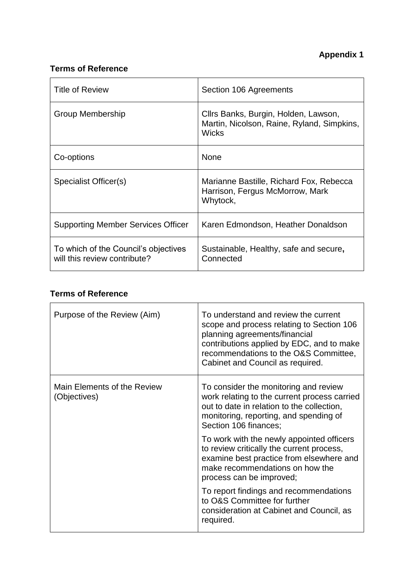# **Terms of Reference**

| <b>Title of Review</b>                                               | Section 106 Agreements                                                                             |
|----------------------------------------------------------------------|----------------------------------------------------------------------------------------------------|
| <b>Group Membership</b>                                              | Cllrs Banks, Burgin, Holden, Lawson,<br>Martin, Nicolson, Raine, Ryland, Simpkins,<br><b>Wicks</b> |
| Co-options                                                           | <b>None</b>                                                                                        |
| Specialist Officer(s)                                                | Marianne Bastille, Richard Fox, Rebecca<br>Harrison, Fergus McMorrow, Mark<br>Whytock,             |
| <b>Supporting Member Services Officer</b>                            | Karen Edmondson, Heather Donaldson                                                                 |
| To which of the Council's objectives<br>will this review contribute? | Sustainable, Healthy, safe and secure,<br>Connected                                                |

# **Terms of Reference**

| Purpose of the Review (Aim)                 | To understand and review the current<br>scope and process relating to Section 106<br>planning agreements/financial<br>contributions applied by EDC, and to make<br>recommendations to the O&S Committee,<br>Cabinet and Council as required. |
|---------------------------------------------|----------------------------------------------------------------------------------------------------------------------------------------------------------------------------------------------------------------------------------------------|
| Main Elements of the Review<br>(Objectives) | To consider the monitoring and review<br>work relating to the current process carried<br>out to date in relation to the collection,<br>monitoring, reporting, and spending of<br>Section 106 finances;                                       |
|                                             | To work with the newly appointed officers<br>to review critically the current process,<br>examine best practice from elsewhere and<br>make recommendations on how the<br>process can be improved;                                            |
|                                             | To report findings and recommendations<br>to O&S Committee for further<br>consideration at Cabinet and Council, as<br>required.                                                                                                              |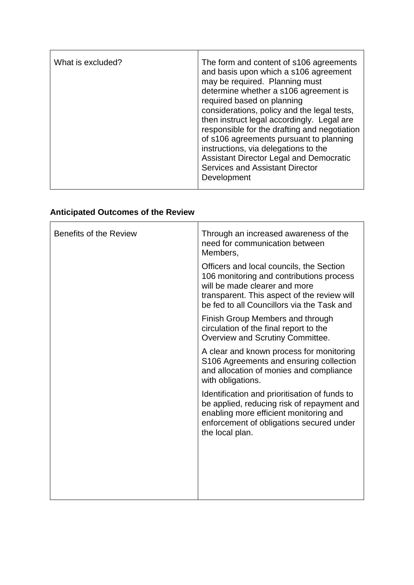| What is excluded? | The form and content of s106 agreements<br>and basis upon which a s106 agreement<br>may be required. Planning must<br>determine whether a s106 agreement is<br>required based on planning<br>considerations, policy and the legal tests,<br>then instruct legal accordingly. Legal are<br>responsible for the drafting and negotiation<br>of s106 agreements pursuant to planning<br>instructions, via delegations to the<br><b>Assistant Director Legal and Democratic</b><br><b>Services and Assistant Director</b><br>Development |
|-------------------|--------------------------------------------------------------------------------------------------------------------------------------------------------------------------------------------------------------------------------------------------------------------------------------------------------------------------------------------------------------------------------------------------------------------------------------------------------------------------------------------------------------------------------------|
|-------------------|--------------------------------------------------------------------------------------------------------------------------------------------------------------------------------------------------------------------------------------------------------------------------------------------------------------------------------------------------------------------------------------------------------------------------------------------------------------------------------------------------------------------------------------|

# **Anticipated Outcomes of the Review**

| <b>Benefits of the Review</b> | Through an increased awareness of the<br>need for communication between<br>Members,                                                                                                                                |
|-------------------------------|--------------------------------------------------------------------------------------------------------------------------------------------------------------------------------------------------------------------|
|                               | Officers and local councils, the Section<br>106 monitoring and contributions process<br>will be made clearer and more<br>transparent. This aspect of the review will<br>be fed to all Councillors via the Task and |
|                               | Finish Group Members and through<br>circulation of the final report to the<br>Overview and Scrutiny Committee.                                                                                                     |
|                               | A clear and known process for monitoring<br>S106 Agreements and ensuring collection<br>and allocation of monies and compliance<br>with obligations.                                                                |
|                               | Identification and prioritisation of funds to<br>be applied, reducing risk of repayment and<br>enabling more efficient monitoring and<br>enforcement of obligations secured under<br>the local plan.               |
|                               |                                                                                                                                                                                                                    |
|                               |                                                                                                                                                                                                                    |